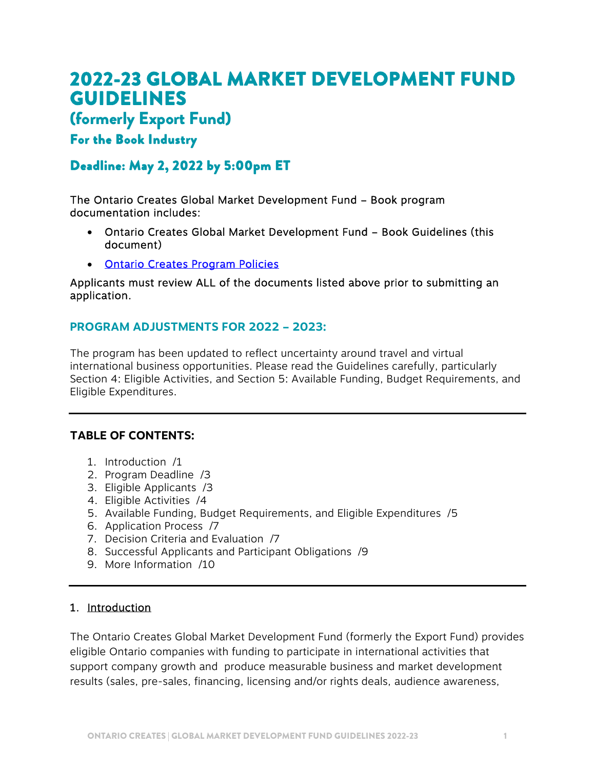# 2022-23 GLOBAL MARKET DEVELOPMENT FUND GUIDELINES

# (formerly Export Fund)

# For the Book Industry

# Deadline: May 2, 2022 by 5:00pm ET

The Ontario Creates Global Market Development Fund – Book program documentation includes:

- Ontario Creates Global Market Development Fund Book Guidelines (this document)
- [Ontario Creates Program Policies](https://ontariocreates.ca/uploads/Industry_Initiatives/ENG/OC-Program-Policies_FINAL.pdf)

Applicants must review ALL of the documents listed above prior to submitting an application.

### **PROGRAM ADJUSTMENTS FOR 2022 – 2023:**

The program has been updated to reflect uncertainty around travel and virtual international business opportunities. Please read the Guidelines carefully, particularly Section 4: Eligible Activities, and Section 5: Available Funding, Budget Requirements, and Eligible Expenditures.

# **TABLE OF CONTENTS:**

- 1. Introduction /1
- 2. Program Deadline /3
- 3. Eligible Applicants /3
- 4. Eligible Activities /4
- 5. Available Funding, Budget Requirements, and Eligible Expenditures /5
- 6. Application Process /7
- 7. Decision Criteria and Evaluation /7
- 8. Successful Applicants and Participant Obligations /9
- 9. More Information /10

#### 1. Introduction

The Ontario Creates Global Market Development Fund (formerly the Export Fund) provides eligible Ontario companies with funding to participate in international activities that support company growth and produce measurable business and market development results (sales, pre-sales, financing, licensing and/or rights deals, audience awareness,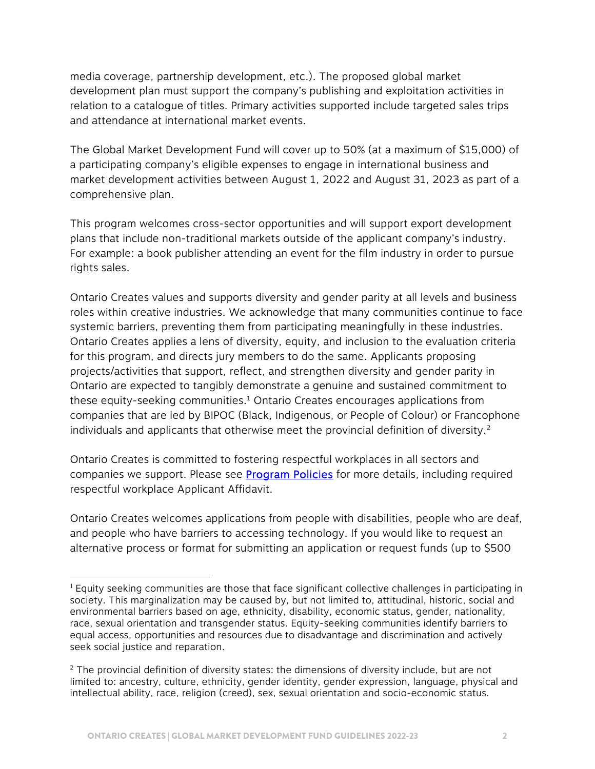media coverage, partnership development, etc.). The proposed global market development plan must support the company's publishing and exploitation activities in relation to a catalogue of titles. Primary activities supported include targeted sales trips and attendance at international market events.

The Global Market Development Fund will cover up to 50% (at a maximum of \$15,000) of a participating company's eligible expenses to engage in international business and market development activities between August 1, 2022 and August 31, 2023 as part of a comprehensive plan.

This program welcomes cross-sector opportunities and will support export development plans that include non-traditional markets outside of the applicant company's industry. For example: a book publisher attending an event for the film industry in order to pursue rights sales.

Ontario Creates values and supports diversity and gender parity at all levels and business roles within creative industries. We acknowledge that many communities continue to face systemic barriers, preventing them from participating meaningfully in these industries. Ontario Creates applies a lens of diversity, equity, and inclusion to the evaluation criteria for this program, and directs jury members to do the same. Applicants proposing projects/activities that support, reflect, and strengthen diversity and gender parity in Ontario are expected to tangibly demonstrate a genuine and sustained commitment to these equity-seeking communities.<sup>1</sup> Ontario Creates encourages applications from companies that are led by BIPOC (Black, Indigenous, or People of Colour) or Francophone individuals and applicants that otherwise meet the provincial definition of diversity.<sup>2</sup>

Ontario Creates is committed to fostering respectful workplaces in all sectors and companies we support. Please see **Program Policies** for more details, including required respectful workplace Applicant Affidavit.

Ontario Creates welcomes applications from people with disabilities, people who are deaf, and people who have barriers to accessing technology. If you would like to request an alternative process or format for submitting an application or request funds (up to \$500

 $\overline{a}$ 

 $<sup>1</sup>$  Equity seeking communities are those that face significant collective challenges in participating in</sup> society. This marginalization may be caused by, but not limited to, attitudinal, historic, social and environmental barriers based on age, ethnicity, disability, economic status, gender, nationality, race, sexual orientation and transgender status. Equity-seeking communities identify barriers to equal access, opportunities and resources due to disadvantage and discrimination and actively seek social justice and reparation.

<sup>&</sup>lt;sup>2</sup> The provincial definition of diversity states: the dimensions of diversity include, but are not limited to: ancestry, culture, ethnicity, gender identity, gender expression, language, physical and intellectual ability, race, religion (creed), sex, sexual orientation and socio-economic status.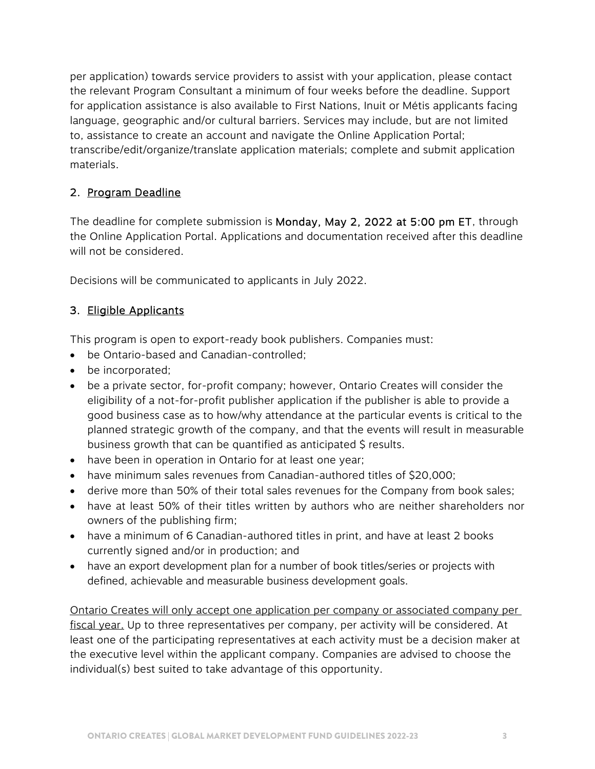per application) towards service providers to assist with your application, please contact the relevant Program Consultant a minimum of four weeks before the deadline. Support for application assistance is also available to First Nations, Inuit or Métis applicants facing language, geographic and/or cultural barriers. Services may include, but are not limited to, assistance to create an account and navigate the Online Application Portal; transcribe/edit/organize/translate application materials; complete and submit application materials.

### 2. Program Deadline

The deadline for complete submission is Monday, May 2, 2022 at 5:00 pm ET, through the Online Application Portal. Applications and documentation received after this deadline will not be considered.

Decisions will be communicated to applicants in July 2022.

# 3. Eligible Applicants

This program is open to export-ready book publishers. Companies must:

- be Ontario-based and Canadian-controlled;
- be incorporated;
- be a private sector, for-profit company; however, Ontario Creates will consider the eligibility of a not-for-profit publisher application if the publisher is able to provide a good business case as to how/why attendance at the particular events is critical to the planned strategic growth of the company, and that the events will result in measurable business growth that can be quantified as anticipated \$ results.
- have been in operation in Ontario for at least one year;
- have minimum sales revenues from Canadian-authored titles of \$20,000;
- derive more than 50% of their total sales revenues for the Company from book sales;
- have at least 50% of their titles written by authors who are neither shareholders nor owners of the publishing firm;
- have a minimum of 6 Canadian-authored titles in print, and have at least 2 books currently signed and/or in production; and
- have an export development plan for a number of book titles/series or projects with defined, achievable and measurable business development goals.

Ontario Creates will only accept one application per company or associated company per fiscal year. Up to three representatives per company, per activity will be considered. At least one of the participating representatives at each activity must be a decision maker at the executive level within the applicant company. Companies are advised to choose the individual(s) best suited to take advantage of this opportunity.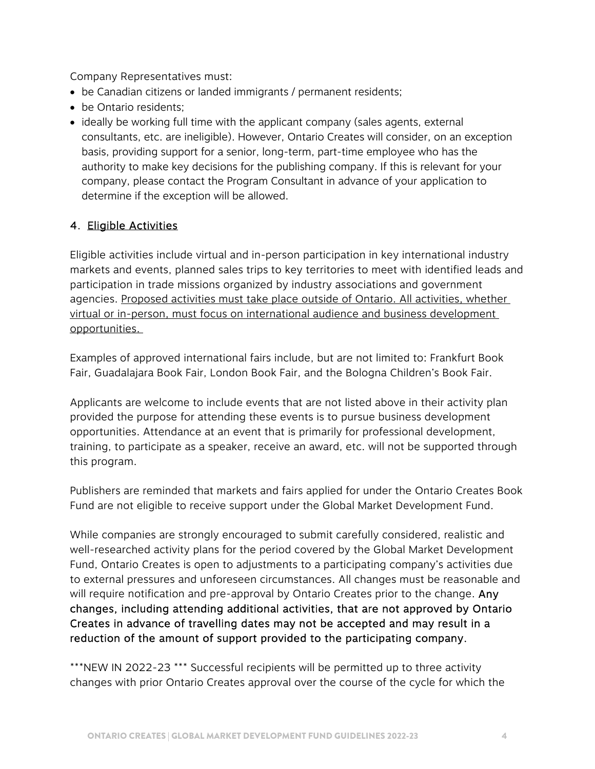Company Representatives must:

- be Canadian citizens or landed immigrants / permanent residents;
- be Ontario residents:
- ideally be working full time with the applicant company (sales agents, external consultants, etc. are ineligible). However, Ontario Creates will consider, on an exception basis, providing support for a senior, long-term, part-time employee who has the authority to make key decisions for the publishing company. If this is relevant for your company, please contact the Program Consultant in advance of your application to determine if the exception will be allowed.

### 4. Eligible Activities

Eligible activities include virtual and in-person participation in key international industry markets and events, planned sales trips to key territories to meet with identified leads and participation in trade missions organized by industry associations and government agencies. Proposed activities must take place outside of Ontario. All activities, whether virtual or in-person, must focus on international audience and business development opportunities.

Examples of approved international fairs include, but are not limited to: Frankfurt Book Fair, Guadalajara Book Fair, London Book Fair, and the Bologna Children's Book Fair.

Applicants are welcome to include events that are not listed above in their activity plan provided the purpose for attending these events is to pursue business development opportunities. Attendance at an event that is primarily for professional development, training, to participate as a speaker, receive an award, etc. will not be supported through this program.

Publishers are reminded that markets and fairs applied for under the Ontario Creates Book Fund are not eligible to receive support under the Global Market Development Fund.

While companies are strongly encouraged to submit carefully considered, realistic and well-researched activity plans for the period covered by the Global Market Development Fund, Ontario Creates is open to adjustments to a participating company's activities due to external pressures and unforeseen circumstances. All changes must be reasonable and will require notification and pre-approval by Ontario Creates prior to the change. Any changes, including attending additional activities, that are not approved by Ontario Creates in advance of travelling dates may not be accepted and may result in a reduction of the amount of support provided to the participating company.

\*\*\*NEW IN 2022-23 \*\*\* Successful recipients will be permitted up to three activity changes with prior Ontario Creates approval over the course of the cycle for which the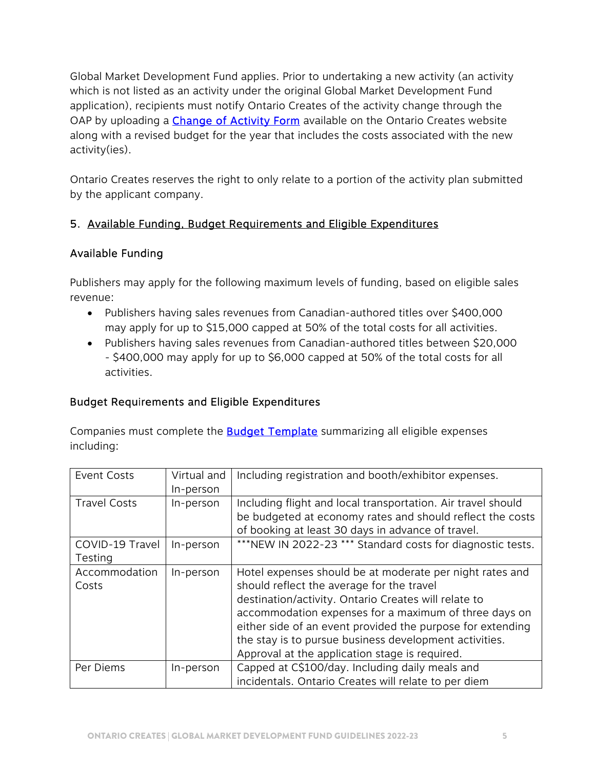Global Market Development Fund applies. Prior to undertaking a new activity (an activity which is not listed as an activity under the original Global Market Development Fund application), recipients must notify Ontario Creates of the activity change through the OAP by uploading a **Change of Activity Form** available on the Ontario Creates website along with a revised budget for the year that includes the costs associated with the new activity(ies).

Ontario Creates reserves the right to only relate to a portion of the activity plan submitted by the applicant company.

# 5. Available Funding, Budget Requirements and Eligible Expenditures

### Available Funding

Publishers may apply for the following maximum levels of funding, based on eligible sales revenue:

- Publishers having sales revenues from Canadian-authored titles over \$400,000 may apply for up to \$15,000 capped at 50% of the total costs for all activities.
- Publishers having sales revenues from Canadian-authored titles between \$20,000 - \$400,000 may apply for up to \$6,000 capped at 50% of the total costs for all activities.

# Budget Requirements and Eligible Expenditures

Companies must complete the **Budget Template** summarizing all eligible expenses including:

| <b>Event Costs</b>         | Virtual and<br>In-person | Including registration and booth/exhibitor expenses.                                                                                                                                                                                                                                                                                                                                             |
|----------------------------|--------------------------|--------------------------------------------------------------------------------------------------------------------------------------------------------------------------------------------------------------------------------------------------------------------------------------------------------------------------------------------------------------------------------------------------|
| <b>Travel Costs</b>        | In-person                | Including flight and local transportation. Air travel should<br>be budgeted at economy rates and should reflect the costs<br>of booking at least 30 days in advance of travel.                                                                                                                                                                                                                   |
| COVID-19 Travel<br>Testing | In-person                | *** NEW IN 2022-23 *** Standard costs for diagnostic tests.                                                                                                                                                                                                                                                                                                                                      |
| Accommodation<br>Costs     | In-person                | Hotel expenses should be at moderate per night rates and<br>should reflect the average for the travel<br>destination/activity. Ontario Creates will relate to<br>accommodation expenses for a maximum of three days on<br>either side of an event provided the purpose for extending<br>the stay is to pursue business development activities.<br>Approval at the application stage is required. |
| Per Diems                  | In-person                | Capped at C\$100/day. Including daily meals and<br>incidentals. Ontario Creates will relate to per diem                                                                                                                                                                                                                                                                                          |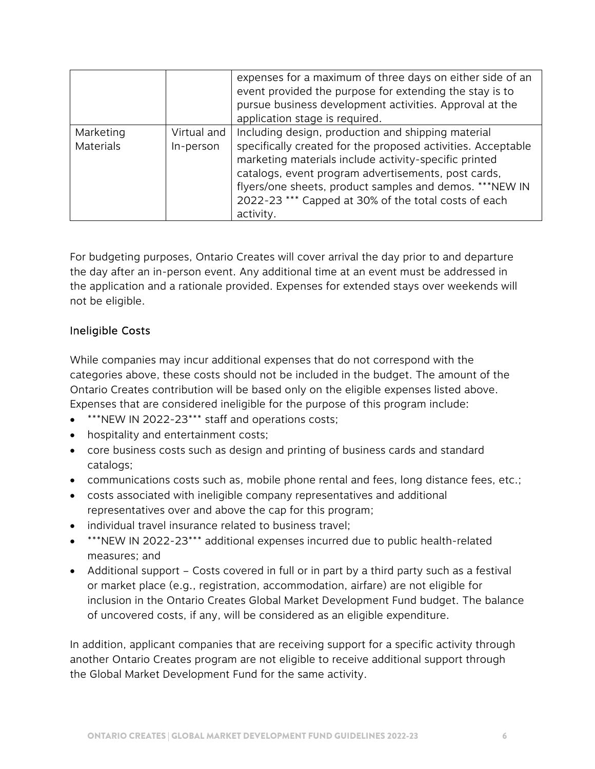|                               |                          | expenses for a maximum of three days on either side of an<br>event provided the purpose for extending the stay is to<br>pursue business development activities. Approval at the<br>application stage is required.                                                                                                                                                  |
|-------------------------------|--------------------------|--------------------------------------------------------------------------------------------------------------------------------------------------------------------------------------------------------------------------------------------------------------------------------------------------------------------------------------------------------------------|
| Marketing<br><b>Materials</b> | Virtual and<br>In-person | Including design, production and shipping material<br>specifically created for the proposed activities. Acceptable<br>marketing materials include activity-specific printed<br>catalogs, event program advertisements, post cards,<br>flyers/one sheets, product samples and demos. ***NEW IN<br>2022-23 *** Capped at 30% of the total costs of each<br>activity. |

For budgeting purposes, Ontario Creates will cover arrival the day prior to and departure the day after an in-person event. Any additional time at an event must be addressed in the application and a rationale provided. Expenses for extended stays over weekends will not be eligible.

### Ineligible Costs

While companies may incur additional expenses that do not correspond with the categories above, these costs should not be included in the budget. The amount of the Ontario Creates contribution will be based only on the eligible expenses listed above. Expenses that are considered ineligible for the purpose of this program include:

- \*\*\*NEW IN 2022-23\*\*\* staff and operations costs;
- hospitality and entertainment costs;
- core business costs such as design and printing of business cards and standard catalogs;
- communications costs such as, mobile phone rental and fees, long distance fees, etc.;
- costs associated with ineligible company representatives and additional representatives over and above the cap for this program;
- individual travel insurance related to business travel;
- \*\*\*NEW IN 2022-23\*\*\* additional expenses incurred due to public health-related measures; and
- Additional support Costs covered in full or in part by a third party such as a festival or market place (e.g., registration, accommodation, airfare) are not eligible for inclusion in the Ontario Creates Global Market Development Fund budget. The balance of uncovered costs, if any, will be considered as an eligible expenditure.

In addition, applicant companies that are receiving support for a specific activity through another Ontario Creates program are not eligible to receive additional support through the Global Market Development Fund for the same activity.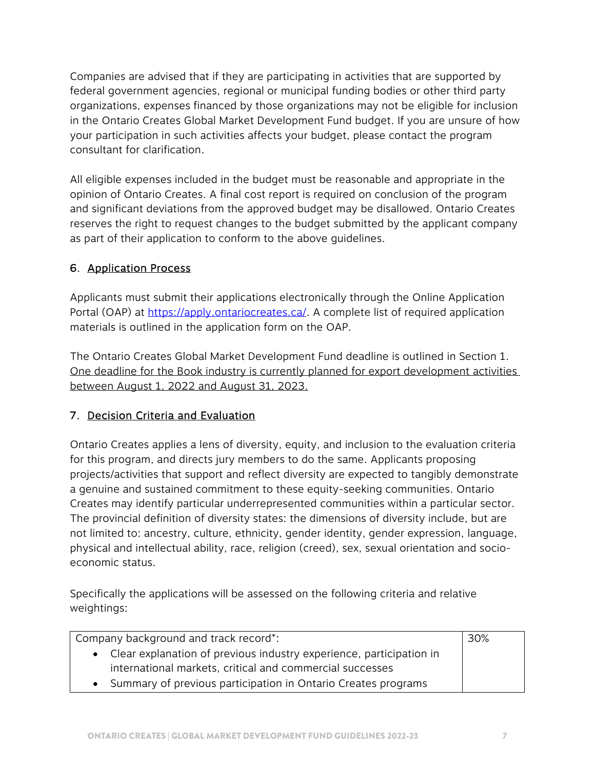Companies are advised that if they are participating in activities that are supported by federal government agencies, regional or municipal funding bodies or other third party organizations, expenses financed by those organizations may not be eligible for inclusion in the Ontario Creates Global Market Development Fund budget. If you are unsure of how your participation in such activities affects your budget, please contact the program consultant for clarification.

All eligible expenses included in the budget must be reasonable and appropriate in the opinion of Ontario Creates. A final cost report is required on conclusion of the program and significant deviations from the approved budget may be disallowed. Ontario Creates reserves the right to request changes to the budget submitted by the applicant company as part of their application to conform to the above guidelines.

# 6. Application Process

Applicants must submit their applications electronically through the Online Application Portal (OAP) a[t https://apply.ontariocreates.ca/. A](https://apply.ontariocreates.ca/) complete list of required application materials is outlined in the application form on the OAP.

The Ontario Creates Global Market Development Fund deadline is outlined in Section 1. One deadline for the Book industry is currently planned for export development activities between August 1, 2022 and August 31, 2023.

# 7. Decision Criteria and Evaluation

Ontario Creates applies a lens of diversity, equity, and inclusion to the evaluation criteria for this program, and directs jury members to do the same. Applicants proposing projects/activities that support and reflect diversity are expected to tangibly demonstrate a genuine and sustained commitment to these equity-seeking communities. Ontario Creates may identify particular underrepresented communities within a particular sector. The provincial definition of diversity states: the dimensions of diversity include, but are not limited to: ancestry, culture, ethnicity, gender identity, gender expression, language, physical and intellectual ability, race, religion (creed), sex, sexual orientation and socioeconomic status.

Specifically the applications will be assessed on the following criteria and relative weightings:

| Company background and track record*:                                      |  |  |
|----------------------------------------------------------------------------|--|--|
| • Clear explanation of previous industry experience, participation in      |  |  |
| international markets, critical and commercial successes                   |  |  |
| Summary of previous participation in Ontario Creates programs<br>$\bullet$ |  |  |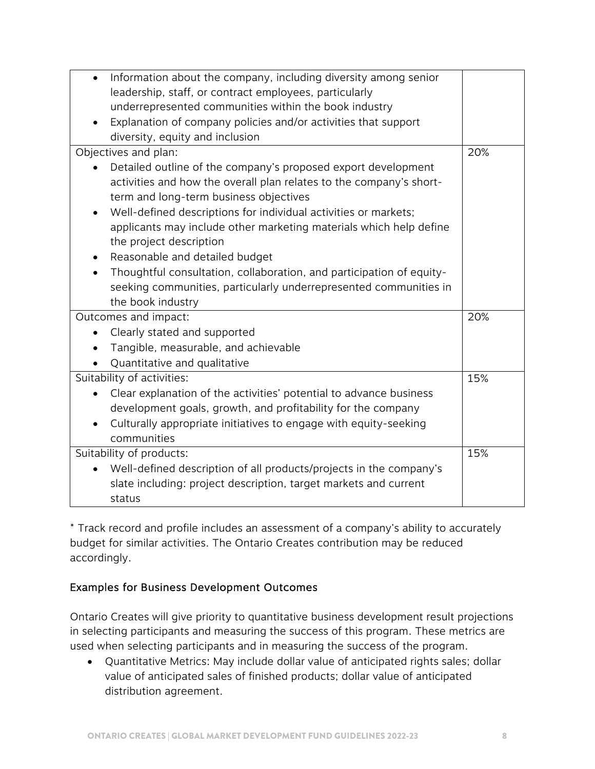| Information about the company, including diversity among senior<br>$\bullet$    |  |  |  |
|---------------------------------------------------------------------------------|--|--|--|
| leadership, staff, or contract employees, particularly                          |  |  |  |
| underrepresented communities within the book industry                           |  |  |  |
| Explanation of company policies and/or activities that support                  |  |  |  |
| diversity, equity and inclusion                                                 |  |  |  |
| Objectives and plan:                                                            |  |  |  |
| Detailed outline of the company's proposed export development                   |  |  |  |
| activities and how the overall plan relates to the company's short-             |  |  |  |
| term and long-term business objectives                                          |  |  |  |
| Well-defined descriptions for individual activities or markets;<br>$\bullet$    |  |  |  |
| applicants may include other marketing materials which help define              |  |  |  |
| the project description                                                         |  |  |  |
| Reasonable and detailed budget<br>٠                                             |  |  |  |
| Thoughtful consultation, collaboration, and participation of equity-            |  |  |  |
| seeking communities, particularly underrepresented communities in               |  |  |  |
| the book industry                                                               |  |  |  |
| Outcomes and impact:                                                            |  |  |  |
| Clearly stated and supported                                                    |  |  |  |
| Tangible, measurable, and achievable                                            |  |  |  |
| Quantitative and qualitative                                                    |  |  |  |
| Suitability of activities:                                                      |  |  |  |
| Clear explanation of the activities' potential to advance business<br>$\bullet$ |  |  |  |
| development goals, growth, and profitability for the company                    |  |  |  |
| Culturally appropriate initiatives to engage with equity-seeking                |  |  |  |
| communities                                                                     |  |  |  |
| Suitability of products:                                                        |  |  |  |
| Well-defined description of all products/projects in the company's              |  |  |  |
| slate including: project description, target markets and current                |  |  |  |
| status                                                                          |  |  |  |

\* Track record and profile includes an assessment of a company's ability to accurately budget for similar activities. The Ontario Creates contribution may be reduced accordingly.

#### Examples for Business Development Outcomes

Ontario Creates will give priority to quantitative business development result projections in selecting participants and measuring the success of this program. These metrics are used when selecting participants and in measuring the success of the program.

 Quantitative Metrics: May include dollar value of anticipated rights sales; dollar value of anticipated sales of finished products; dollar value of anticipated distribution agreement.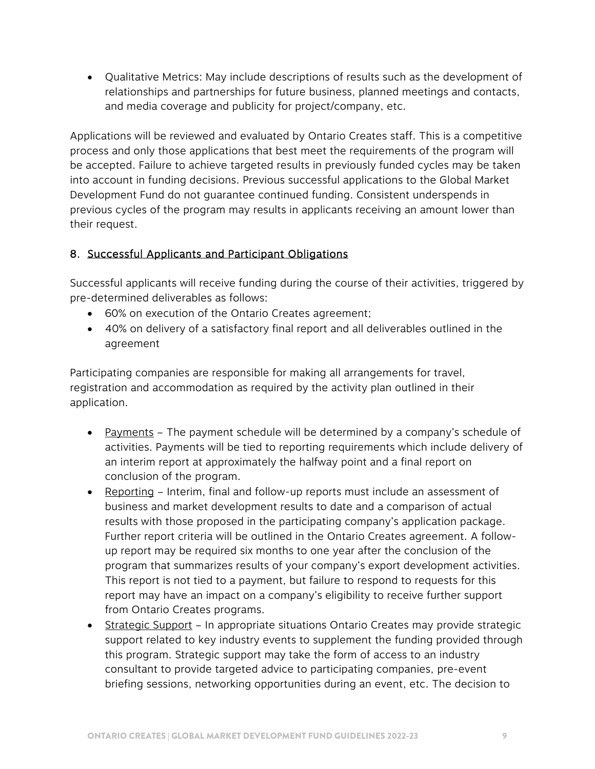Qualitative Metrics: May include descriptions of results such as the development of relationships and partnerships for future business, planned meetings and contacts, and media coverage and publicity for project/company, etc.

Applications will be reviewed and evaluated by Ontario Creates staff. This is a competitive process and only those applications that best meet the requirements of the program will be accepted. Failure to achieve targeted results in previously funded cycles may be taken into account in funding decisions. Previous successful applications to the Global Market Development Fund do not guarantee continued funding. Consistent underspends in previous cycles of the program may results in applicants receiving an amount lower than their request.

# 8. Successful Applicants and Participant Obligations

Successful applicants will receive funding during the course of their activities, triggered by pre-determined deliverables as follows:

- 60% on execution of the Ontario Creates agreement;
- 40% on delivery of a satisfactory final report and all deliverables outlined in the agreement

Participating companies are responsible for making all arrangements for travel, registration and accommodation as required by the activity plan outlined in their application.

- Payments The payment schedule will be determined by a company's schedule of activities. Payments will be tied to reporting requirements which include delivery of an interim report at approximately the halfway point and a final report on conclusion of the program.
- Reporting Interim, final and follow-up reports must include an assessment of business and market development results to date and a comparison of actual results with those proposed in the participating company's application package. Further report criteria will be outlined in the Ontario Creates agreement. A followup report may be required six months to one year after the conclusion of the program that summarizes results of your company's export development activities. This report is not tied to a payment, but failure to respond to requests for this report may have an impact on a company's eligibility to receive further support from Ontario Creates programs.
- Strategic Support In appropriate situations Ontario Creates may provide strategic support related to key industry events to supplement the funding provided through this program. Strategic support may take the form of access to an industry consultant to provide targeted advice to participating companies, pre-event briefing sessions, networking opportunities during an event, etc. The decision to